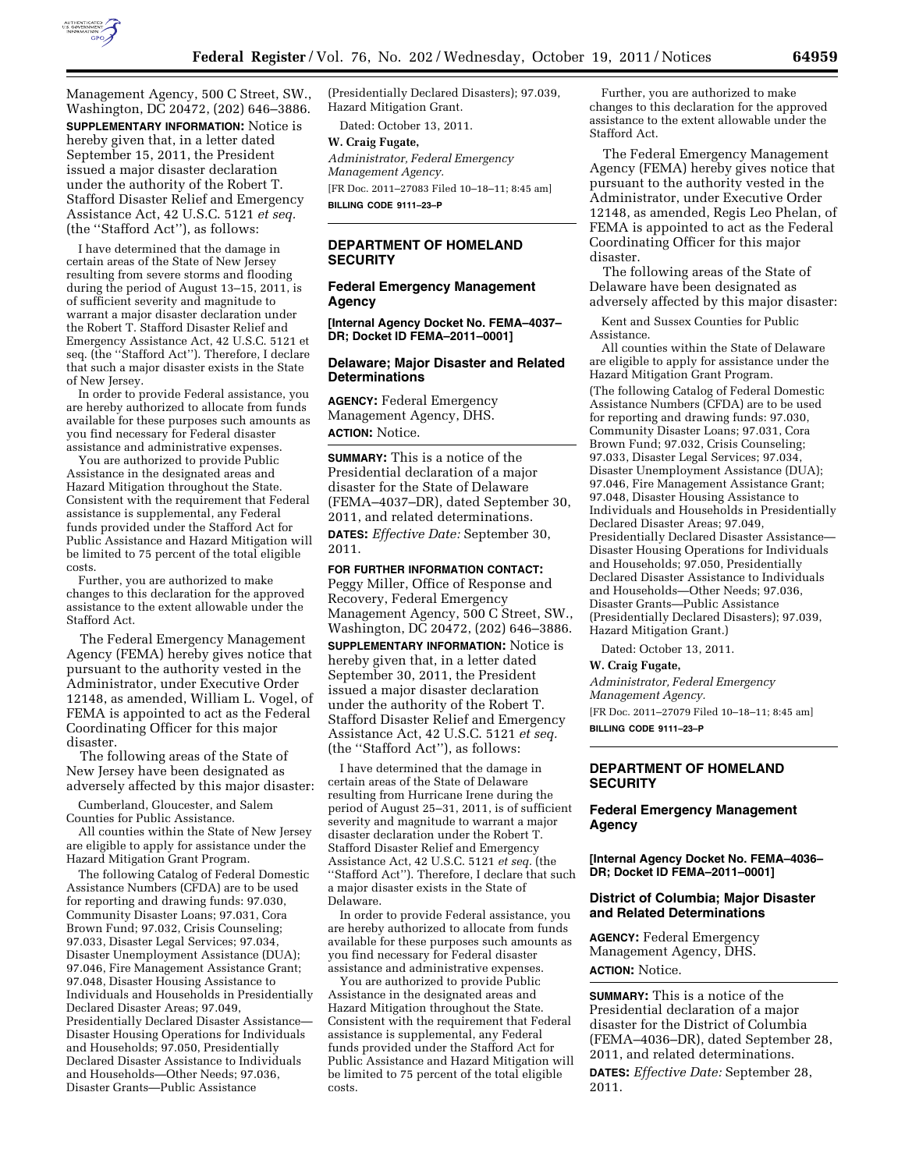

Management Agency, 500 C Street, SW., Washington, DC 20472, (202) 646–3886. **SUPPLEMENTARY INFORMATION:** Notice is hereby given that, in a letter dated September 15, 2011, the President issued a major disaster declaration under the authority of the Robert T. Stafford Disaster Relief and Emergency Assistance Act, 42 U.S.C. 5121 *et seq.*  (the ''Stafford Act''), as follows:

I have determined that the damage in certain areas of the State of New Jersey resulting from severe storms and flooding during the period of August 13–15, 2011, is of sufficient severity and magnitude to warrant a major disaster declaration under the Robert T. Stafford Disaster Relief and Emergency Assistance Act, 42 U.S.C. 5121 et seq. (the ''Stafford Act''). Therefore, I declare that such a major disaster exists in the State of New Jersey.

In order to provide Federal assistance, you are hereby authorized to allocate from funds available for these purposes such amounts as you find necessary for Federal disaster assistance and administrative expenses.

You are authorized to provide Public Assistance in the designated areas and Hazard Mitigation throughout the State. Consistent with the requirement that Federal assistance is supplemental, any Federal funds provided under the Stafford Act for Public Assistance and Hazard Mitigation will be limited to 75 percent of the total eligible costs.

Further, you are authorized to make changes to this declaration for the approved assistance to the extent allowable under the Stafford Act.

The Federal Emergency Management Agency (FEMA) hereby gives notice that pursuant to the authority vested in the Administrator, under Executive Order 12148, as amended, William L. Vogel, of FEMA is appointed to act as the Federal Coordinating Officer for this major disaster.

The following areas of the State of New Jersey have been designated as adversely affected by this major disaster:

Cumberland, Gloucester, and Salem Counties for Public Assistance.

All counties within the State of New Jersey are eligible to apply for assistance under the Hazard Mitigation Grant Program.

The following Catalog of Federal Domestic Assistance Numbers (CFDA) are to be used for reporting and drawing funds: 97.030, Community Disaster Loans; 97.031, Cora Brown Fund; 97.032, Crisis Counseling; 97.033, Disaster Legal Services; 97.034, Disaster Unemployment Assistance (DUA); 97.046, Fire Management Assistance Grant; 97.048, Disaster Housing Assistance to Individuals and Households in Presidentially Declared Disaster Areas; 97.049, Presidentially Declared Disaster Assistance— Disaster Housing Operations for Individuals and Households; 97.050, Presidentially Declared Disaster Assistance to Individuals and Households—Other Needs; 97.036, Disaster Grants—Public Assistance

(Presidentially Declared Disasters); 97.039, Hazard Mitigation Grant.

Dated: October 13, 2011.

#### **W. Craig Fugate,**

*Administrator, Federal Emergency Management Agency.*  [FR Doc. 2011–27083 Filed 10–18–11; 8:45 am] **BILLING CODE 9111–23–P** 

## **DEPARTMENT OF HOMELAND SECURITY**

## **Federal Emergency Management Agency**

**[Internal Agency Docket No. FEMA–4037– DR; Docket ID FEMA–2011–0001]** 

## **Delaware; Major Disaster and Related Determinations**

**AGENCY:** Federal Emergency Management Agency, DHS. **ACTION:** Notice.

**SUMMARY:** This is a notice of the Presidential declaration of a major disaster for the State of Delaware (FEMA–4037–DR), dated September 30, 2011, and related determinations. **DATES:** *Effective Date:* September 30, 2011.

**FOR FURTHER INFORMATION CONTACT:**  Peggy Miller, Office of Response and Recovery, Federal Emergency Management Agency, 500 C Street, SW., Washington, DC 20472, (202) 646–3886.

**SUPPLEMENTARY INFORMATION:** Notice is hereby given that, in a letter dated September 30, 2011, the President issued a major disaster declaration under the authority of the Robert T. Stafford Disaster Relief and Emergency Assistance Act, 42 U.S.C. 5121 *et seq.*  (the ''Stafford Act''), as follows:

I have determined that the damage in certain areas of the State of Delaware resulting from Hurricane Irene during the period of August 25–31, 2011, is of sufficient severity and magnitude to warrant a major disaster declaration under the Robert T. Stafford Disaster Relief and Emergency Assistance Act, 42 U.S.C. 5121 *et seq.* (the "Stafford Act"). Therefore, I declare that such a major disaster exists in the State of Delaware.

In order to provide Federal assistance, you are hereby authorized to allocate from funds available for these purposes such amounts as you find necessary for Federal disaster assistance and administrative expenses.

You are authorized to provide Public Assistance in the designated areas and Hazard Mitigation throughout the State. Consistent with the requirement that Federal assistance is supplemental, any Federal funds provided under the Stafford Act for Public Assistance and Hazard Mitigation will be limited to 75 percent of the total eligible costs.

Further, you are authorized to make changes to this declaration for the approved assistance to the extent allowable under the Stafford Act.

The Federal Emergency Management Agency (FEMA) hereby gives notice that pursuant to the authority vested in the Administrator, under Executive Order 12148, as amended, Regis Leo Phelan, of FEMA is appointed to act as the Federal Coordinating Officer for this major disaster.

The following areas of the State of Delaware have been designated as adversely affected by this major disaster:

Kent and Sussex Counties for Public Assistance.

All counties within the State of Delaware are eligible to apply for assistance under the Hazard Mitigation Grant Program. (The following Catalog of Federal Domestic Assistance Numbers (CFDA) are to be used for reporting and drawing funds: 97.030, Community Disaster Loans; 97.031, Cora Brown Fund; 97.032, Crisis Counseling; 97.033, Disaster Legal Services; 97.034, Disaster Unemployment Assistance (DUA); 97.046, Fire Management Assistance Grant; 97.048, Disaster Housing Assistance to Individuals and Households in Presidentially Declared Disaster Areas; 97.049, Presidentially Declared Disaster Assistance— Disaster Housing Operations for Individuals and Households; 97.050, Presidentially Declared Disaster Assistance to Individuals and Households—Other Needs; 97.036, Disaster Grants—Public Assistance (Presidentially Declared Disasters); 97.039, Hazard Mitigation Grant.)

Dated: October 13, 2011.

#### **W. Craig Fugate,**

*Administrator, Federal Emergency Management Agency.*  [FR Doc. 2011–27079 Filed 10–18–11; 8:45 am]

**BILLING CODE 9111–23–P** 

# **DEPARTMENT OF HOMELAND SECURITY**

# **Federal Emergency Management Agency**

**[Internal Agency Docket No. FEMA–4036– DR; Docket ID FEMA–2011–0001]** 

### **District of Columbia; Major Disaster and Related Determinations**

**AGENCY:** Federal Emergency Management Agency, DHS. **ACTION:** Notice.

**SUMMARY:** This is a notice of the Presidential declaration of a major disaster for the District of Columbia (FEMA–4036–DR), dated September 28, 2011, and related determinations.

**DATES:** *Effective Date:* September 28, 2011.